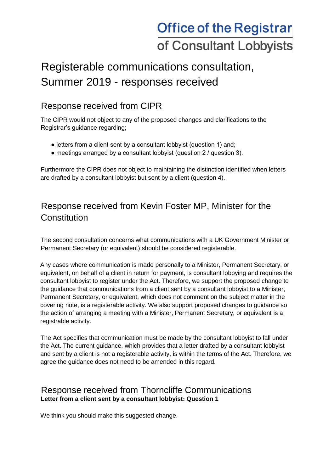# **Office of the Registrar** of Consultant Lobbyists

## Registerable communications consultation, Summer 2019 - responses received

## Response received from CIPR

The CIPR would not object to any of the proposed changes and clarifications to the Registrar's guidance regarding;

- letters from a client sent by a consultant lobbyist (question 1) and;
- meetings arranged by a consultant lobbyist (question 2 / question 3).

Furthermore the CIPR does not object to maintaining the distinction identified when letters are drafted by a consultant lobbyist but sent by a client (question 4).

## Response received from Kevin Foster MP, Minister for the **Constitution**

The second consultation concerns what communications with a UK Government Minister or Permanent Secretary (or equivalent) should be considered registerable.

Any cases where communication is made personally to a Minister, Permanent Secretary, or equivalent, on behalf of a client in return for payment, is consultant lobbying and requires the consultant lobbyist to register under the Act. Therefore, we support the proposed change to the guidance that communications from a client sent by a consultant lobbyist to a Minister, Permanent Secretary, or equivalent, which does not comment on the subject matter in the covering note, is a registerable activity. We also support proposed changes to guidance so the action of arranging a meeting with a Minister, Permanent Secretary, or equivalent is a registrable activity.

The Act specifies that communication must be made by the consultant lobbyist to fall under the Act. The current guidance, which provides that a letter drafted by a consultant lobbyist and sent by a client is not a registerable activity, is within the terms of the Act. Therefore, we agree the guidance does not need to be amended in this regard.

### Response received from Thorncliffe Communications **Letter from a client sent by a consultant lobbyist: Question 1**

We think you should make this suggested change.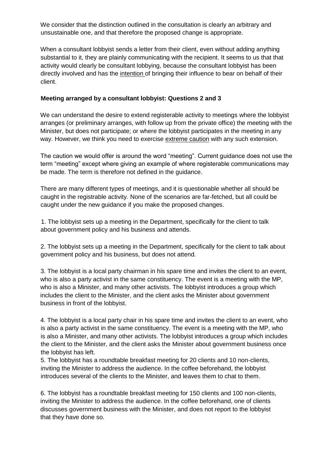We consider that the distinction outlined in the consultation is clearly an arbitrary and unsustainable one, and that therefore the proposed change is appropriate.

When a consultant lobbyist sends a letter from their client, even without adding anything substantial to it, they are plainly communicating with the recipient. It seems to us that that activity would clearly be consultant lobbying, because the consultant lobbyist has been directly involved and has the intention of bringing their influence to bear on behalf of their client.

#### **Meeting arranged by a consultant lobbyist: Questions 2 and 3**

We can understand the desire to extend registerable activity to meetings where the lobbyist arranges (or preliminary arranges, with follow up from the private office) the meeting with the Minister, but does not participate; or where the lobbyist participates in the meeting in any way. However, we think you need to exercise extreme caution with any such extension.

The caution we would offer is around the word "meeting". Current guidance does not use the term "meeting" except where giving an example of where registerable communications may be made. The term is therefore not defined in the guidance.

There are many different types of meetings, and it is questionable whether all should be caught in the registrable activity. None of the scenarios are far-fetched, but all could be caught under the new guidance if you make the proposed changes.

1. The lobbyist sets up a meeting in the Department, specifically for the client to talk about government policy and his business and attends.

2. The lobbyist sets up a meeting in the Department, specifically for the client to talk about government policy and his business, but does not attend.

3. The lobbyist is a local party chairman in his spare time and invites the client to an event, who is also a party activist in the same constituency. The event is a meeting with the MP, who is also a Minister, and many other activists. The lobbyist introduces a group which includes the client to the Minister, and the client asks the Minister about government business in front of the lobbyist.

4. The lobbyist is a local party chair in his spare time and invites the client to an event, who is also a party activist in the same constituency. The event is a meeting with the MP, who is also a Minister, and many other activists. The lobbyist introduces a group which includes the client to the Minister, and the client asks the Minister about government business once the lobbyist has left.

5. The lobbyist has a roundtable breakfast meeting for 20 clients and 10 non-clients, inviting the Minister to address the audience. In the coffee beforehand, the lobbyist introduces several of the clients to the Minister, and leaves them to chat to them.

6. The lobbyist has a roundtable breakfast meeting for 150 clients and 100 non-clients, inviting the Minister to address the audience. In the coffee beforehand, one of clients discusses government business with the Minister, and does not report to the lobbyist that they have done so.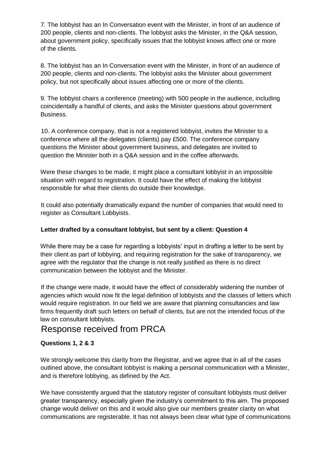7. The lobbyist has an In Conversation event with the Minister, in front of an audience of 200 people, clients and non-clients. The lobbyist asks the Minister, in the Q&A session, about government policy, specifically issues that the lobbyist knows affect one or more of the clients.

8. The lobbyist has an In Conversation event with the Minister, in front of an audience of 200 people, clients and non-clients. The lobbyist asks the Minister about government policy, but not specifically about issues affecting one or more of the clients.

9. The lobbyist chairs a conference (meeting) with 500 people in the audience, including coincidentally a handful of clients, and asks the Minister questions about government Business.

10. A conference company, that is not a registered lobbyist, invites the Minister to a conference where all the delegates (clients) pay £500. The conference company questions the Minister about government business, and delegates are invited to question the Minister both in a Q&A session and in the coffee afterwards.

Were these changes to be made, it might place a consultant lobbyist in an impossible situation with regard to registration. It could have the effect of making the lobbyist responsible for what their clients do outside their knowledge.

It could also potentially dramatically expand the number of companies that would need to register as Consultant Lobbyists.

#### **Letter drafted by a consultant lobbyist, but sent by a client: Question 4**

While there may be a case for regarding a lobbyists' input in drafting a letter to be sent by their client as part of lobbying, and requiring registration for the sake of transparency, we agree with the regulator that the change is not really justified as there is no direct communication between the lobbyist and the Minister.

If the change were made, it would have the effect of considerably widening the number of agencies which would now fit the legal definition of lobbyists and the classes of letters which would require registration. In our field we are aware that planning consultancies and law firms frequently draft such letters on behalf of clients, but are not the intended focus of the law on consultant lobbyists.

## Response received from PRCA

#### **Questions 1, 2 & 3**

We strongly welcome this clarity from the Registrar, and we agree that in all of the cases outlined above, the consultant lobbyist is making a personal communication with a Minister, and is therefore lobbying, as defined by the Act.

We have consistently argued that the statutory register of consultant lobbyists must deliver greater transparency, especially given the industry's commitment to this aim. The proposed change would deliver on this and it would also give our members greater clarity on what communications are registerable. It has not always been clear what type of communications